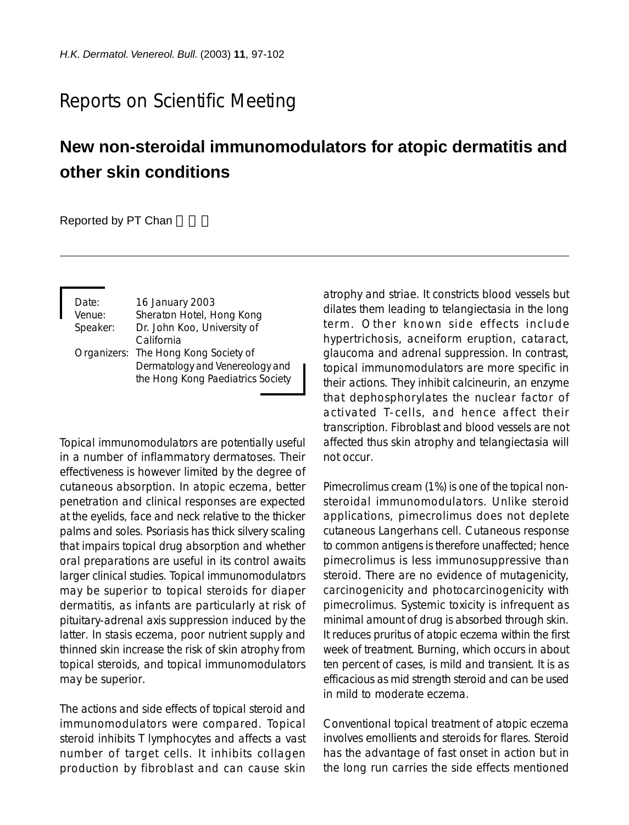## Reports on Scientific Meeting

## **New non-steroidal immunomodulators for atopic dermatitis and other skin conditions**

Reported by PT Chan

| Date:    | 16 January 2003                      |
|----------|--------------------------------------|
| Venue:   | Sheraton Hotel, Hong Kong            |
| Speaker: | Dr. John Koo, University of          |
|          | California                           |
|          | Organizers: The Hong Kong Society of |
|          | Dermatology and Venereology and      |
|          | the Hong Kong Paediatrics Society    |

Topical immunomodulators are potentially useful in a number of inflammatory dermatoses. Their effectiveness is however limited by the degree of cutaneous absorption. In atopic eczema, better penetration and clinical responses are expected at the eyelids, face and neck relative to the thicker palms and soles. Psoriasis has thick silvery scaling that impairs topical drug absorption and whether oral preparations are useful in its control awaits larger clinical studies. Topical immunomodulators may be superior to topical steroids for diaper dermatitis, as infants are particularly at risk of pituitary-adrenal axis suppression induced by the latter. In stasis eczema, poor nutrient supply and thinned skin increase the risk of skin atrophy from topical steroids, and topical immunomodulators may be superior.

The actions and side effects of topical steroid and immunomodulators were compared. Topical steroid inhibits T lymphocytes and affects a vast number of target cells. It inhibits collagen production by fibroblast and can cause skin

atrophy and striae. It constricts blood vessels but dilates them leading to telangiectasia in the long term. Other known side effects include hypertrichosis, acneiform eruption, cataract, glaucoma and adrenal suppression. In contrast, topical immunomodulators are more specific in their actions. They inhibit calcineurin, an enzyme that dephosphorylates the nuclear factor of activated T-cells, and hence affect their transcription. Fibroblast and blood vessels are not affected thus skin atrophy and telangiectasia will not occur.

Pimecrolimus cream (1%) is one of the topical nonsteroidal immunomodulators. Unlike steroid applications, pimecrolimus does not deplete cutaneous Langerhans cell. Cutaneous response to common antigens is therefore unaffected; hence pimecrolimus is less immunosuppressive than steroid. There are no evidence of mutagenicity, carcinogenicity and photocarcinogenicity with pimecrolimus. Systemic toxicity is infrequent as minimal amount of drug is absorbed through skin. It reduces pruritus of atopic eczema within the first week of treatment. Burning, which occurs in about ten percent of cases, is mild and transient. It is as efficacious as mid strength steroid and can be used in mild to moderate eczema.

Conventional topical treatment of atopic eczema involves emollients and steroids for flares. Steroid has the advantage of fast onset in action but in the long run carries the side effects mentioned